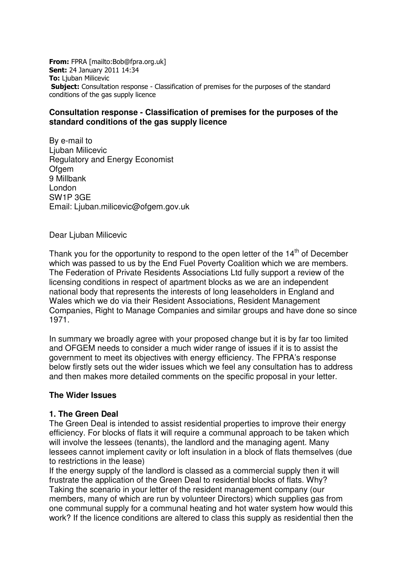From: FPRA [mailto:Bob@fpra.org.uk] Sent: 24 January 2011 14:34 To: Ljuban Milicevic **Subject:** Consultation response - Classification of premises for the purposes of the standard conditions of the gas supply licence

### **Consultation response - Classification of premises for the purposes of the standard conditions of the gas supply licence**

By e-mail to Ljuban Milicevic Regulatory and Energy Economist Ofgem 9 Millbank London SW1P 3GE Email: Liuban.milicevic@ofgem.gov.uk

#### Dear Ljuban Milicevic

Thank you for the opportunity to respond to the open letter of the  $14<sup>th</sup>$  of December which was passed to us by the End Fuel Poverty Coalition which we are members. The Federation of Private Residents Associations Ltd fully support a review of the licensing conditions in respect of apartment blocks as we are an independent national body that represents the interests of long leaseholders in England and Wales which we do via their Resident Associations, Resident Management Companies, Right to Manage Companies and similar groups and have done so since 1971.

In summary we broadly agree with your proposed change but it is by far too limited and OFGEM needs to consider a much wider range of issues if it is to assist the government to meet its objectives with energy efficiency. The FPRA's response below firstly sets out the wider issues which we feel any consultation has to address and then makes more detailed comments on the specific proposal in your letter.

#### **The Wider Issues**

#### **1. The Green Deal**

The Green Deal is intended to assist residential properties to improve their energy efficiency. For blocks of flats it will require a communal approach to be taken which will involve the lessees (tenants), the landlord and the managing agent. Many lessees cannot implement cavity or loft insulation in a block of flats themselves (due to restrictions in the lease)

If the energy supply of the landlord is classed as a commercial supply then it will frustrate the application of the Green Deal to residential blocks of flats. Why? Taking the scenario in your letter of the resident management company (our members, many of which are run by volunteer Directors) which supplies gas from one communal supply for a communal heating and hot water system how would this work? If the licence conditions are altered to class this supply as residential then the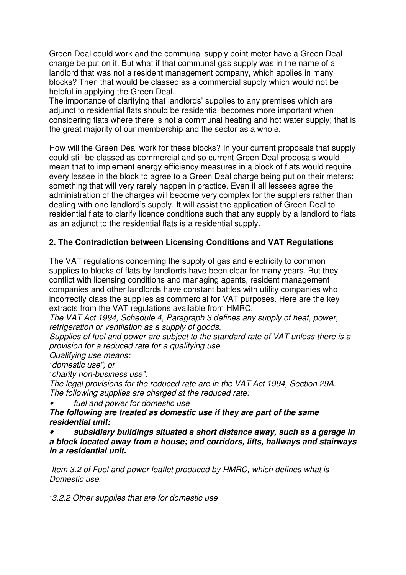Green Deal could work and the communal supply point meter have a Green Deal charge be put on it. But what if that communal gas supply was in the name of a landlord that was not a resident management company, which applies in many blocks? Then that would be classed as a commercial supply which would not be helpful in applying the Green Deal.

The importance of clarifying that landlords' supplies to any premises which are adjunct to residential flats should be residential becomes more important when considering flats where there is not a communal heating and hot water supply; that is the great majority of our membership and the sector as a whole.

How will the Green Deal work for these blocks? In your current proposals that supply could still be classed as commercial and so current Green Deal proposals would mean that to implement energy efficiency measures in a block of flats would require every lessee in the block to agree to a Green Deal charge being put on their meters; something that will very rarely happen in practice. Even if all lessees agree the administration of the charges will become very complex for the suppliers rather than dealing with one landlord's supply. It will assist the application of Green Deal to residential flats to clarify licence conditions such that any supply by a landlord to flats as an adjunct to the residential flats is a residential supply.

# **2. The Contradiction between Licensing Conditions and VAT Regulations**

The VAT regulations concerning the supply of gas and electricity to common supplies to blocks of flats by landlords have been clear for many years. But they conflict with licensing conditions and managing agents, resident management companies and other landlords have constant battles with utility companies who incorrectly class the supplies as commercial for VAT purposes. Here are the key extracts from the VAT regulations available from HMRC.

The VAT Act 1994, Schedule 4, Paragraph 3 defines any supply of heat, power, refrigeration or ventilation as a supply of goods.

Supplies of fuel and power are subject to the standard rate of VAT unless there is a provision for a reduced rate for a qualifying use.

Qualifying use means:

"domestic use"; or

"charity non-business use".

The legal provisions for the reduced rate are in the VAT Act 1994, Section 29A. The following supplies are charged at the reduced rate:

fuel and power for domestic use

**The following are treated as domestic use if they are part of the same residential unit:** 

• **subsidiary buildings situated a short distance away, such as a garage in a block located away from a house; and corridors, lifts, hallways and stairways in a residential unit.** 

 Item 3.2 of Fuel and power leaflet produced by HMRC, which defines what is Domestic use.

"3.2.2 Other supplies that are for domestic use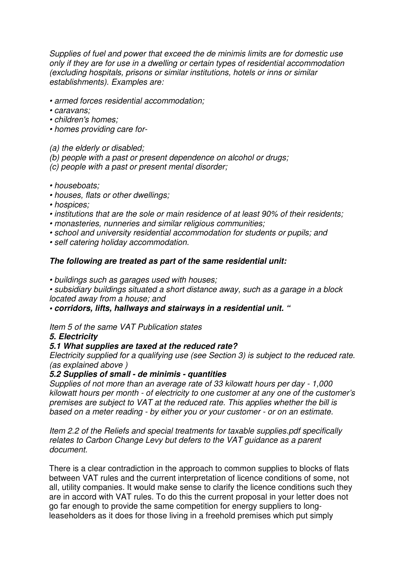Supplies of fuel and power that exceed the de minimis limits are for domestic use only if they are for use in a dwelling or certain types of residential accommodation (excluding hospitals, prisons or similar institutions, hotels or inns or similar establishments). Examples are:

• armed forces residential accommodation;

• caravans;

- children's homes;
- homes providing care for-

(a) the elderly or disabled;

- (b) people with a past or present dependence on alcohol or drugs;
- (c) people with a past or present mental disorder;

• houseboats;

- houses, flats or other dwellings;
- hospices;
- institutions that are the sole or main residence of at least 90% of their residents;
- monasteries, nunneries and similar religious communities;
- school and university residential accommodation for students or pupils; and
- self catering holiday accommodation.

### **The following are treated as part of the same residential unit:**

• buildings such as garages used with houses;

• subsidiary buildings situated a short distance away, such as a garage in a block located away from a house; and

**• corridors, lifts, hallways and stairways in a residential unit. "** 

Item 5 of the same VAT Publication states

#### **5. Electricity**

#### **5.1 What supplies are taxed at the reduced rate?**

Electricity supplied for a qualifying use (see Section 3) is subject to the reduced rate. (as explained above )

#### **5.2 Supplies of small - de minimis - quantities**

Supplies of not more than an average rate of 33 kilowatt hours per day - 1,000 kilowatt hours per month - of electricity to one customer at any one of the customer's premises are subject to VAT at the reduced rate. This applies whether the bill is based on a meter reading - by either you or your customer - or on an estimate.

Item 2.2 of the Reliefs and special treatments for taxable supplies.pdf specifically relates to Carbon Change Levy but defers to the VAT guidance as a parent document.

There is a clear contradiction in the approach to common supplies to blocks of flats between VAT rules and the current interpretation of licence conditions of some, not all, utility companies. It would make sense to clarify the licence conditions such they are in accord with VAT rules. To do this the current proposal in your letter does not go far enough to provide the same competition for energy suppliers to longleaseholders as it does for those living in a freehold premises which put simply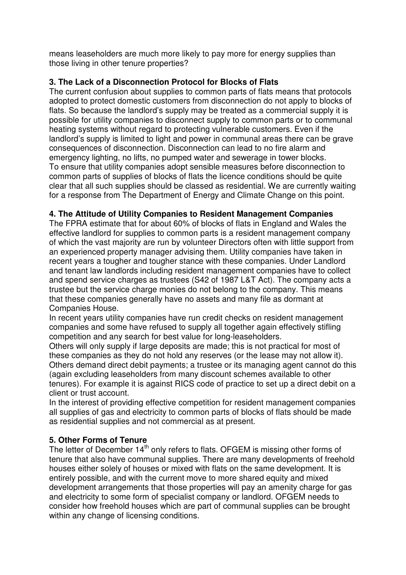means leaseholders are much more likely to pay more for energy supplies than those living in other tenure properties?

### **3. The Lack of a Disconnection Protocol for Blocks of Flats**

The current confusion about supplies to common parts of flats means that protocols adopted to protect domestic customers from disconnection do not apply to blocks of flats. So because the landlord's supply may be treated as a commercial supply it is possible for utility companies to disconnect supply to common parts or to communal heating systems without regard to protecting vulnerable customers. Even if the landlord's supply is limited to light and power in communal areas there can be grave consequences of disconnection. Disconnection can lead to no fire alarm and emergency lighting, no lifts, no pumped water and sewerage in tower blocks. To ensure that utility companies adopt sensible measures before disconnection to common parts of supplies of blocks of flats the licence conditions should be quite clear that all such supplies should be classed as residential. We are currently waiting for a response from The Department of Energy and Climate Change on this point.

# **4. The Attitude of Utility Companies to Resident Management Companies**

The FPRA estimate that for about 60% of blocks of flats in England and Wales the effective landlord for supplies to common parts is a resident management company of which the vast majority are run by volunteer Directors often with little support from an experienced property manager advising them. Utility companies have taken in recent years a tougher and tougher stance with these companies. Under Landlord and tenant law landlords including resident management companies have to collect and spend service charges as trustees (S42 of 1987 L&T Act). The company acts a trustee but the service charge monies do not belong to the company. This means that these companies generally have no assets and many file as dormant at Companies House.

In recent years utility companies have run credit checks on resident management companies and some have refused to supply all together again effectively stifling competition and any search for best value for long-leaseholders.

Others will only supply if large deposits are made; this is not practical for most of these companies as they do not hold any reserves (or the lease may not allow it). Others demand direct debit payments; a trustee or its managing agent cannot do this (again excluding leaseholders from many discount schemes available to other tenures). For example it is against RICS code of practice to set up a direct debit on a client or trust account.

In the interest of providing effective competition for resident management companies all supplies of gas and electricity to common parts of blocks of flats should be made as residential supplies and not commercial as at present.

### **5. Other Forms of Tenure**

The letter of December 14<sup>th</sup> only refers to flats. OFGEM is missing other forms of tenure that also have communal supplies. There are many developments of freehold houses either solely of houses or mixed with flats on the same development. It is entirely possible, and with the current move to more shared equity and mixed development arrangements that those properties will pay an amenity charge for gas and electricity to some form of specialist company or landlord. OFGEM needs to consider how freehold houses which are part of communal supplies can be brought within any change of licensing conditions.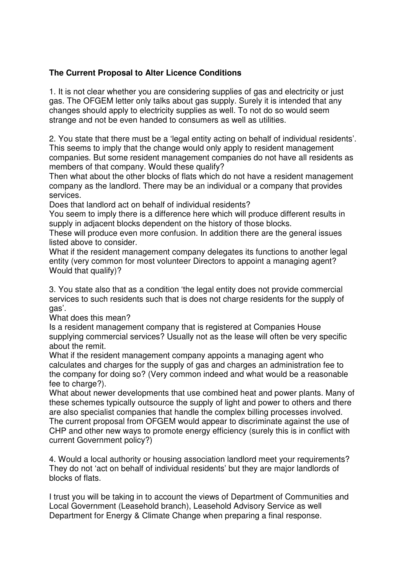### **The Current Proposal to Alter Licence Conditions**

1. It is not clear whether you are considering supplies of gas and electricity or just gas. The OFGEM letter only talks about gas supply. Surely it is intended that any changes should apply to electricity supplies as well. To not do so would seem strange and not be even handed to consumers as well as utilities.

2. You state that there must be a 'legal entity acting on behalf of individual residents'. This seems to imply that the change would only apply to resident management companies. But some resident management companies do not have all residents as members of that company. Would these qualify?

Then what about the other blocks of flats which do not have a resident management company as the landlord. There may be an individual or a company that provides services.

Does that landlord act on behalf of individual residents?

You seem to imply there is a difference here which will produce different results in supply in adjacent blocks dependent on the history of those blocks.

These will produce even more confusion. In addition there are the general issues listed above to consider.

What if the resident management company delegates its functions to another legal entity (very common for most volunteer Directors to appoint a managing agent? Would that qualify)?

3. You state also that as a condition 'the legal entity does not provide commercial services to such residents such that is does not charge residents for the supply of gas'.

What does this mean?

Is a resident management company that is registered at Companies House supplying commercial services? Usually not as the lease will often be very specific about the remit.

What if the resident management company appoints a managing agent who calculates and charges for the supply of gas and charges an administration fee to the company for doing so? (Very common indeed and what would be a reasonable fee to charge?).

What about newer developments that use combined heat and power plants. Many of these schemes typically outsource the supply of light and power to others and there are also specialist companies that handle the complex billing processes involved. The current proposal from OFGEM would appear to discriminate against the use of CHP and other new ways to promote energy efficiency (surely this is in conflict with current Government policy?)

4. Would a local authority or housing association landlord meet your requirements? They do not 'act on behalf of individual residents' but they are major landlords of blocks of flats.

I trust you will be taking in to account the views of Department of Communities and Local Government (Leasehold branch), Leasehold Advisory Service as well Department for Energy & Climate Change when preparing a final response.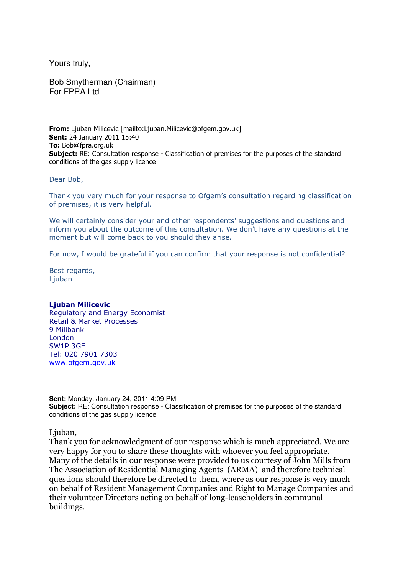Yours truly,

Bob Smytherman (Chairman) For FPRA Ltd

From: Ljuban Milicevic [mailto:Ljuban.Milicevic@ofgem.gov.uk] Sent: 24 January 2011 15:40 To: Bob@fpra.org.uk **Subject:** RE: Consultation response - Classification of premises for the purposes of the standard conditions of the gas supply licence

Dear Bob,

Thank you very much for your response to Ofgem's consultation regarding classification of premises, it is very helpful.

We will certainly consider your and other respondents' suggestions and questions and inform you about the outcome of this consultation. We don't have any questions at the moment but will come back to you should they arise.

For now, I would be grateful if you can confirm that your response is not confidential?

Best regards, Ljuban

#### Ljuban Milicevic

Regulatory and Energy Economist Retail & Market Processes 9 Millbank London SW1P 3GE Tel: 020 7901 7303 www.ofgem.gov.uk

**Sent:** Monday, January 24, 2011 4:09 PM **Subject:** RE: Consultation response - Classification of premises for the purposes of the standard conditions of the gas supply licence

Ljuban,

Thank you for acknowledgment of our response which is much appreciated. We are very happy for you to share these thoughts with whoever you feel appropriate. Many of the details in our response were provided to us courtesy of John Mills from The Association of Residential Managing Agents (ARMA) and therefore technical questions should therefore be directed to them, where as our response is very much on behalf of Resident Management Companies and Right to Manage Companies and their volunteer Directors acting on behalf of long-leaseholders in communal buildings.